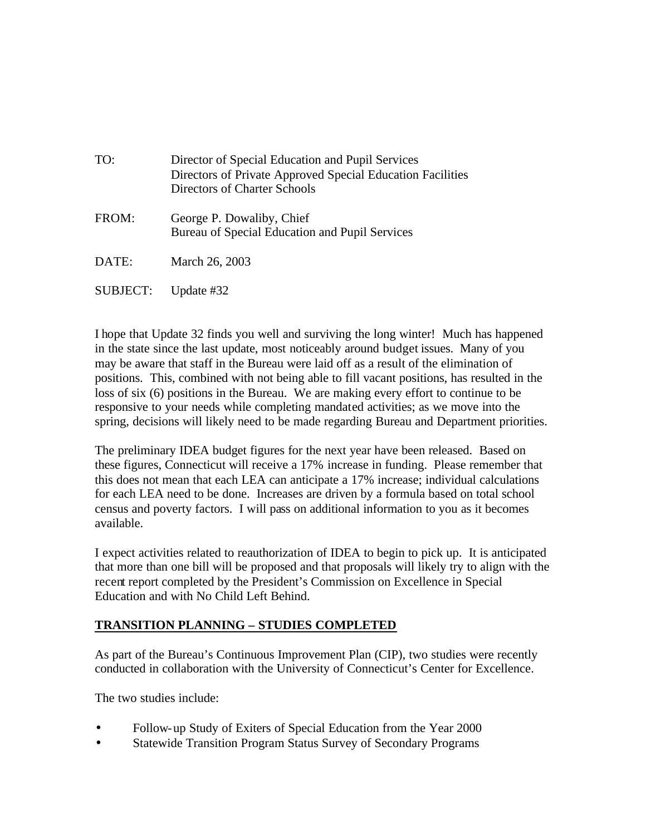| TO:      | Director of Special Education and Pupil Services<br>Directors of Private Approved Special Education Facilities<br>Directors of Charter Schools |
|----------|------------------------------------------------------------------------------------------------------------------------------------------------|
| FROM:    | George P. Dowaliby, Chief<br>Bureau of Special Education and Pupil Services                                                                    |
| DATE:    | March 26, 2003                                                                                                                                 |
| SUBJECT: | Update #32                                                                                                                                     |

I hope that Update 32 finds you well and surviving the long winter! Much has happened in the state since the last update, most noticeably around budget issues. Many of you may be aware that staff in the Bureau were laid off as a result of the elimination of positions. This, combined with not being able to fill vacant positions, has resulted in the loss of six (6) positions in the Bureau. We are making every effort to continue to be responsive to your needs while completing mandated activities; as we move into the spring, decisions will likely need to be made regarding Bureau and Department priorities.

The preliminary IDEA budget figures for the next year have been released. Based on these figures, Connecticut will receive a 17% increase in funding. Please remember that this does not mean that each LEA can anticipate a 17% increase; individual calculations for each LEA need to be done. Increases are driven by a formula based on total school census and poverty factors. I will pass on additional information to you as it becomes available.

I expect activities related to reauthorization of IDEA to begin to pick up. It is anticipated that more than one bill will be proposed and that proposals will likely try to align with the recent report completed by the President's Commission on Excellence in Special Education and with No Child Left Behind.

### **TRANSITION PLANNING – STUDIES COMPLETED**

As part of the Bureau's Continuous Improvement Plan (CIP), two studies were recently conducted in collaboration with the University of Connecticut's Center for Excellence.

The two studies include:

- Follow-up Study of Exiters of Special Education from the Year 2000
- Statewide Transition Program Status Survey of Secondary Programs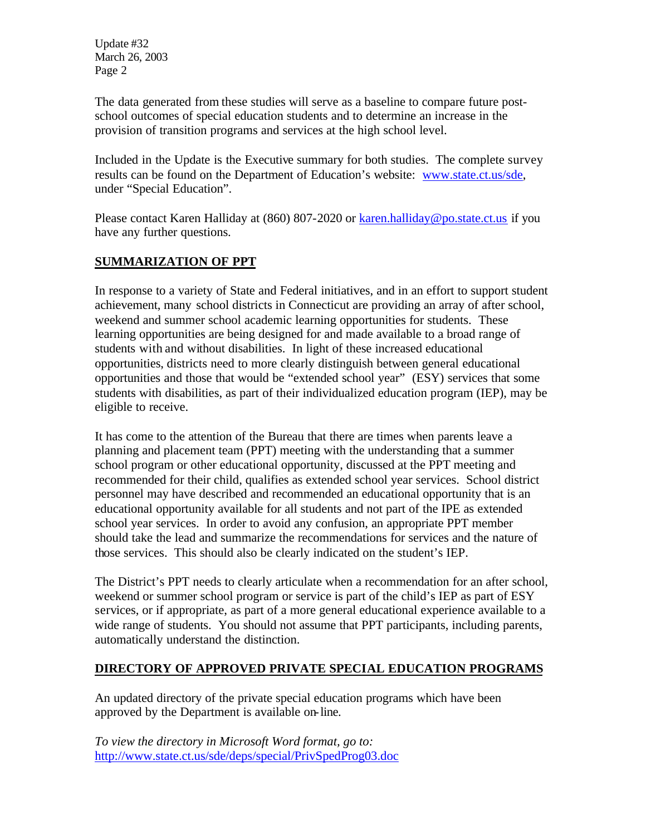The data generated from these studies will serve as a baseline to compare future postschool outcomes of special education students and to determine an increase in the provision of transition programs and services at the high school level.

Included in the Update is the Executive summary for both studies. The complete survey results can be found on the Department of Education's website: www.state.ct.us/sde, under "Special Education".

Please contact Karen Halliday at (860) 807-2020 or karen.halliday@po.state.ct.us if you have any further questions.

## **SUMMARIZATION OF PPT**

In response to a variety of State and Federal initiatives, and in an effort to support student achievement, many school districts in Connecticut are providing an array of after school, weekend and summer school academic learning opportunities for students. These learning opportunities are being designed for and made available to a broad range of students with and without disabilities. In light of these increased educational opportunities, districts need to more clearly distinguish between general educational opportunities and those that would be "extended school year" (ESY) services that some students with disabilities, as part of their individualized education program (IEP), may be eligible to receive.

It has come to the attention of the Bureau that there are times when parents leave a planning and placement team (PPT) meeting with the understanding that a summer school program or other educational opportunity, discussed at the PPT meeting and recommended for their child, qualifies as extended school year services. School district personnel may have described and recommended an educational opportunity that is an educational opportunity available for all students and not part of the IPE as extended school year services. In order to avoid any confusion, an appropriate PPT member should take the lead and summarize the recommendations for services and the nature of those services. This should also be clearly indicated on the student's IEP.

The District's PPT needs to clearly articulate when a recommendation for an after school, weekend or summer school program or service is part of the child's IEP as part of ESY services, or if appropriate, as part of a more general educational experience available to a wide range of students. You should not assume that PPT participants, including parents, automatically understand the distinction.

# **DIRECTORY OF APPROVED PRIVATE SPECIAL EDUCATION PROGRAMS**

An updated directory of the private special education programs which have been approved by the Department is available on-line.

*To view the directory in Microsoft Word format, go to:*  http://www.state.ct.us/sde/deps/special/PrivSpedProg03.doc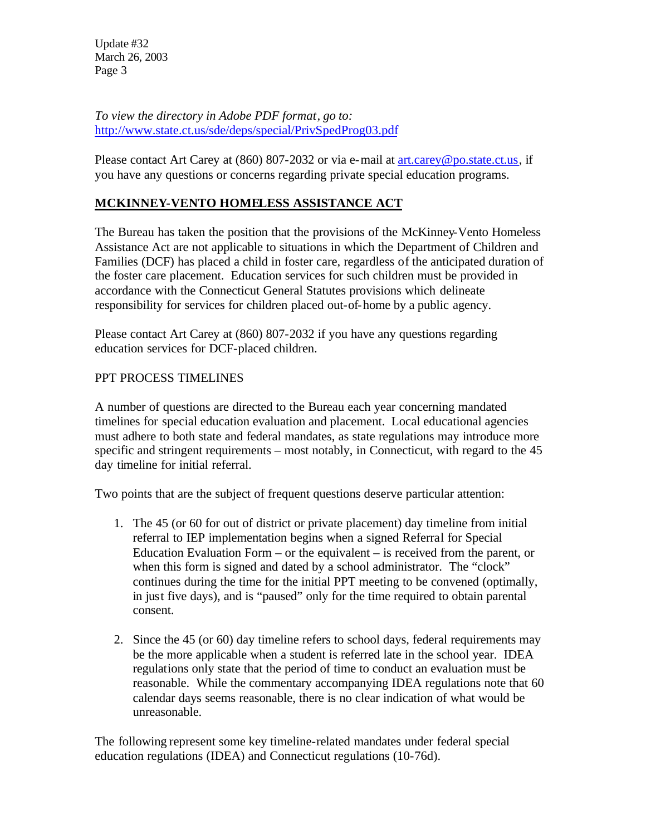*To view the directory in Adobe PDF format, go to:*  http://www.state.ct.us/sde/deps/special/PrivSpedProg03.pdf

Please contact Art Carey at (860) 807-2032 or via e-mail at art.carey@po.state.ct.us, if you have any questions or concerns regarding private special education programs.

## **MCKINNEY-VENTO HOMELESS ASSISTANCE ACT**

The Bureau has taken the position that the provisions of the McKinney-Vento Homeless Assistance Act are not applicable to situations in which the Department of Children and Families (DCF) has placed a child in foster care, regardless of the anticipated duration of the foster care placement. Education services for such children must be provided in accordance with the Connecticut General Statutes provisions which delineate responsibility for services for children placed out-of-home by a public agency.

Please contact Art Carey at (860) 807-2032 if you have any questions regarding education services for DCF-placed children.

#### PPT PROCESS TIMELINES

A number of questions are directed to the Bureau each year concerning mandated timelines for special education evaluation and placement. Local educational agencies must adhere to both state and federal mandates, as state regulations may introduce more specific and stringent requirements – most notably, in Connecticut, with regard to the 45 day timeline for initial referral.

Two points that are the subject of frequent questions deserve particular attention:

- 1. The 45 (or 60 for out of district or private placement) day timeline from initial referral to IEP implementation begins when a signed Referral for Special Education Evaluation Form – or the equivalent  $-$  is received from the parent, or when this form is signed and dated by a school administrator. The "clock" continues during the time for the initial PPT meeting to be convened (optimally, in just five days), and is "paused" only for the time required to obtain parental consent.
- 2. Since the 45 (or 60) day timeline refers to school days, federal requirements may be the more applicable when a student is referred late in the school year. IDEA regulations only state that the period of time to conduct an evaluation must be reasonable. While the commentary accompanying IDEA regulations note that 60 calendar days seems reasonable, there is no clear indication of what would be unreasonable.

The following represent some key timeline-related mandates under federal special education regulations (IDEA) and Connecticut regulations (10-76d).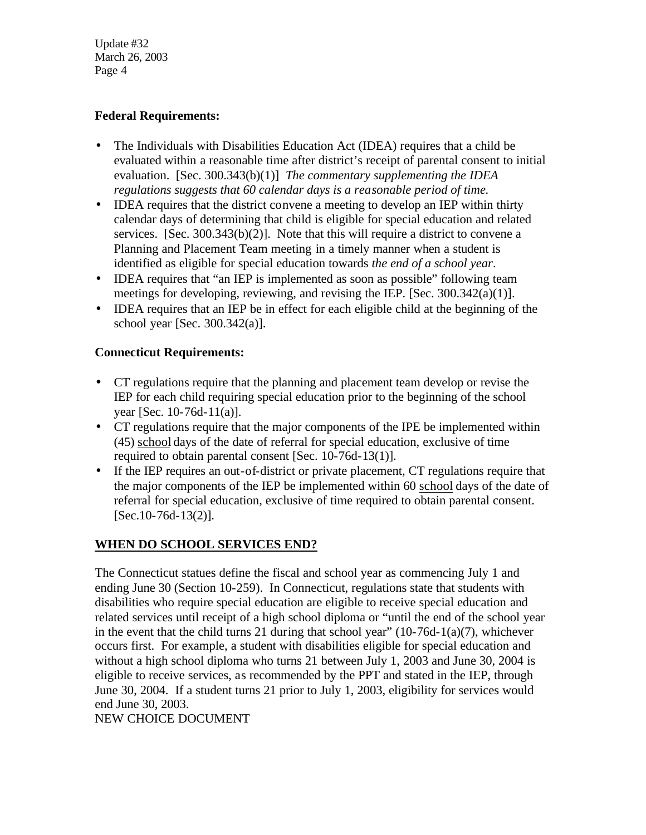## **Federal Requirements:**

- The Individuals with Disabilities Education Act (IDEA) requires that a child be evaluated within a reasonable time after district's receipt of parental consent to initial evaluation. [Sec. 300.343(b)(1)] *The commentary supplementing the IDEA regulations suggests that 60 calendar days is a reasonable period of time.*
- IDEA requires that the district convene a meeting to develop an IEP within thirty calendar days of determining that child is eligible for special education and related services. [Sec. 300.343(b)(2)]. Note that this will require a district to convene a Planning and Placement Team meeting in a timely manner when a student is identified as eligible for special education towards *the end of a school year*.
- IDEA requires that "an IEP is implemented as soon as possible" following team meetings for developing, reviewing, and revising the IEP. [Sec. 300.342(a)(1)].
- IDEA requires that an IEP be in effect for each eligible child at the beginning of the school year [Sec. 300.342(a)].

### **Connecticut Requirements:**

- CT regulations require that the planning and placement team develop or revise the IEP for each child requiring special education prior to the beginning of the school year [Sec. 10-76d-11(a)].
- CT regulations require that the major components of the IPE be implemented within (45) school days of the date of referral for special education, exclusive of time required to obtain parental consent [Sec. 10-76d-13(1)].
- If the IEP requires an out-of-district or private placement, CT regulations require that the major components of the IEP be implemented within 60 school days of the date of referral for special education, exclusive of time required to obtain parental consent.  $[Sec.10-76d-13(2)].$

# **WHEN DO SCHOOL SERVICES END?**

The Connecticut statues define the fiscal and school year as commencing July 1 and ending June 30 (Section 10-259). In Connecticut, regulations state that students with disabilities who require special education are eligible to receive special education and related services until receipt of a high school diploma or "until the end of the school year in the event that the child turns 21 during that school year"  $(10-76d-1(a)(7)$ , whichever occurs first. For example, a student with disabilities eligible for special education and without a high school diploma who turns 21 between July 1, 2003 and June 30, 2004 is eligible to receive services, as recommended by the PPT and stated in the IEP, through June 30, 2004. If a student turns 21 prior to July 1, 2003, eligibility for services would end June 30, 2003.

NEW CHOICE DOCUMENT